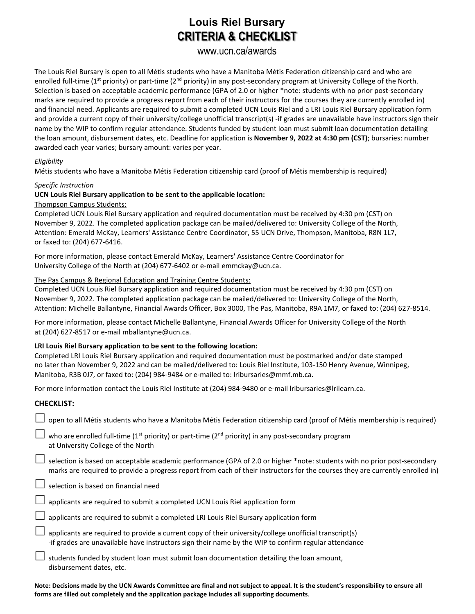# **Louis Riel Bursary CRITERIA & CHECKLIST**

## www.ucn.ca/awards

The Louis Riel Bursary is open to all Métis students who have a Manitoba Métis Federation citizenship card and who are enrolled full-time (1<sup>st</sup> priority) or part-time (2<sup>nd</sup> priority) in any post-secondary program at University College of the North. Selection is based on acceptable academic performance (GPA of 2.0 or higher \*note: students with no prior post-secondary marks are required to provide a progress report from each of their instructors for the courses they are currently enrolled in) and financial need. Applicants are required to submit a completed UCN Louis Riel and a LRI Louis Riel Bursary application form and provide a current copy of their university/college unofficial transcript(s) -if grades are unavailable have instructors sign their name by the WIP to confirm regular attendance. Students funded by student loan must submit loan documentation detailing the loan amount, disbursement dates, etc. Deadline for application is **November 9, 2022 at 4:30 pm (CST)**; bursaries: number awarded each year varies; bursary amount: varies per year.

#### *Eligibility*

Métis students who have a Manitoba Métis Federation citizenship card (proof of Métis membership is required)

#### *Specific Instruction*

#### **UCN Louis Riel Bursary application to be sent to the applicable location:**

#### Thompson Campus Students:

Completed UCN Louis Riel Bursary application and required documentation must be received by 4:30 pm (CST) on November 9, 2022. The completed application package can be mailed/delivered to: University College of the North, Attention: Emerald McKay, Learners' Assistance Centre Coordinator, 55 UCN Drive, Thompson, Manitoba, R8N 1L7, or faxed to: (204) 677-6416.

For more information, please contact Emerald McKay, Learners' Assistance Centre Coordinator for University College of the North at (204) 677-6402 or e-mail emmckay@ucn.ca.

#### The Pas Campus & Regional Education and Training Centre Students:

Completed UCN Louis Riel Bursary application and required documentation must be received by 4:30 pm (CST) on November 9, 2022. The completed application package can be mailed/delivered to: University College of the North, Attention: Michelle Ballantyne, Financial Awards Officer, Box 3000, The Pas, Manitoba, R9A 1M7, or faxed to: (204) 627-8514.

For more information, please contact Michelle Ballantyne, Financial Awards Officer for University College of the North at (204) 627-8517 or e-mail mballantyne@ucn.ca.

#### **LRI Louis Riel Bursary application to be sent to the following location:**

Completed LRI Louis Riel Bursary application and required documentation must be postmarked and/or date stamped no later than November 9, 2022 and can be mailed/delivered to: Louis Riel Institute, 103-150 Henry Avenue, Winnipeg, Manitoba, R3B 0J7, or faxed to: (204) 984-9484 or e-mailed to: lribursaries@mmf.mb.ca.

For more information contact the Louis Riel Institute at (204) 984-9480 or e-mail lribursaries@lrilearn.ca.

### **CHECKLIST:**

 $\perp$  open to all Métis students who have a Manitoba Métis Federation citizenship card (proof of Métis membership is required)

who are enrolled full-time ( $1<sup>st</sup>$  priority) or part-time ( $2<sup>nd</sup>$  priority) in any post-secondary program at University College of the North

- $\Box$  selection is based on acceptable academic performance (GPA of 2.0 or higher \*note: students with no prior post-secondary marks are required to provide a progress report from each of their instructors for the courses they are currently enrolled in)
- selection is based on financial need

applicants are required to submit a completed UCN Louis Riel application form

applicants are required to submit a completed LRI Louis Riel Bursary application form

| applicants are required to provide a current copy of their university/college unofficial transcript(s) |
|--------------------------------------------------------------------------------------------------------|
| -if grades are unavailable have instructors sign their name by the WIP to confirm regular attendance   |

 students funded by student loan must submit loan documentation detailing the loan amount, disbursement dates, etc.

**Note: Decisions made by the UCN Awards Committee are final and not subject to appeal. It is the student's responsibility to ensure all forms are filled out completely and the application package includes all supporting documents**.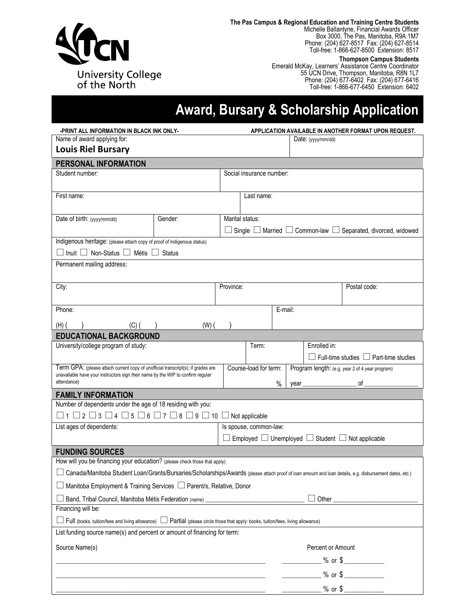

**The Pas Campus & Regional Education and Training Centre Students**

Michelle Ballantyne, Financial Awards Officer Box 3000, The Pas, Manitoba, R9A 1M7 Phone: (204) 627-8517 Fax: (204) 627-8514 Toll-free: 1-866-627-8500 Extension: 8517

**Thompson Campus Students**

Emerald McKay, Learners' Assistance Centre Coordinator 55 UCN Drive, Thompson, Manitoba, R8N 1L7 Phone: (204) 677-6402 Fax: (204) 677-6416 Toll-free: 1-866-677-6450 Extension: 6402

# **Award, Bursary & Scholarship Application**

| -PRINT ALL INFORMATION IN BLACK INK ONLY-                                                                                                                           |                                                                          |                          | APPLICATION AVAILABLE IN ANOTHER FORMAT UPON REQUEST. |         |      |                    |                                                                             |  |  |
|---------------------------------------------------------------------------------------------------------------------------------------------------------------------|--------------------------------------------------------------------------|--------------------------|-------------------------------------------------------|---------|------|--------------------|-----------------------------------------------------------------------------|--|--|
| Name of award applying for:                                                                                                                                         |                                                                          |                          |                                                       |         |      | Date: (yyyy/mm/dd) |                                                                             |  |  |
| <b>Louis Riel Bursary</b>                                                                                                                                           |                                                                          |                          |                                                       |         |      |                    |                                                                             |  |  |
| PERSONAL INFORMATION                                                                                                                                                |                                                                          |                          |                                                       |         |      |                    |                                                                             |  |  |
| Student number:                                                                                                                                                     |                                                                          | Social insurance number: |                                                       |         |      |                    |                                                                             |  |  |
|                                                                                                                                                                     |                                                                          |                          |                                                       |         |      |                    |                                                                             |  |  |
| First name:                                                                                                                                                         |                                                                          |                          | Last name:                                            |         |      |                    |                                                                             |  |  |
|                                                                                                                                                                     |                                                                          |                          |                                                       |         |      |                    |                                                                             |  |  |
| Date of birth: (yyyy/mm/dd)                                                                                                                                         | Gender:                                                                  | Marital status:          |                                                       |         |      |                    |                                                                             |  |  |
|                                                                                                                                                                     |                                                                          |                          |                                                       |         |      |                    | Single $\Box$ Married $\Box$ Common-law $\Box$ Separated, divorced, widowed |  |  |
| Indigenous heritage: (please attach copy of proof of Indigenous status)                                                                                             |                                                                          |                          |                                                       |         |      |                    |                                                                             |  |  |
| $\Box$ Inuit $\Box$ Non-Status $\Box$ Métis $\Box$ Status                                                                                                           |                                                                          |                          |                                                       |         |      |                    |                                                                             |  |  |
| Permanent mailing address:                                                                                                                                          |                                                                          |                          |                                                       |         |      |                    |                                                                             |  |  |
|                                                                                                                                                                     |                                                                          |                          |                                                       |         |      |                    |                                                                             |  |  |
| City:                                                                                                                                                               |                                                                          | Province:                |                                                       |         |      |                    | Postal code:                                                                |  |  |
| Phone:                                                                                                                                                              |                                                                          |                          |                                                       | E-mail: |      |                    |                                                                             |  |  |
|                                                                                                                                                                     |                                                                          |                          |                                                       |         |      |                    |                                                                             |  |  |
| $(H)$ (<br>$(C)$ ( )                                                                                                                                                | $(W)$ (                                                                  |                          |                                                       |         |      |                    |                                                                             |  |  |
| <b>EDUCATIONAL BACKGROUND</b><br>University/college program of study:                                                                                               |                                                                          |                          | Term:                                                 |         |      | Enrolled in:       |                                                                             |  |  |
|                                                                                                                                                                     |                                                                          |                          |                                                       |         |      |                    | $\Box$ Full-time studies $\Box$ Part-time studies                           |  |  |
| Term GPA: (please attach current copy of unofficial transcript(s); if grades are<br>unavailable have your instructors sign their name by the WIP to confirm regular |                                                                          |                          | Course-load for term:                                 |         |      |                    | Program length: (e.g. year 2 of 4 year program)                             |  |  |
| attendance)                                                                                                                                                         |                                                                          |                          |                                                       | %       | vear |                    |                                                                             |  |  |
| <b>FAMILY INFORMATION</b>                                                                                                                                           |                                                                          |                          |                                                       |         |      |                    |                                                                             |  |  |
| Number of dependents under the age of 18 residing with you:                                                                                                         |                                                                          |                          |                                                       |         |      |                    |                                                                             |  |  |
| $\Box$ 1 $\Box$ 2 $\Box$ 3 $\Box$ 4 $\Box$ 5 $\Box$ 6 $\Box$ 7 $\Box$ 8 $\Box$ 9 $\Box$ 10 $\Box$ Not applicable                                                    |                                                                          |                          |                                                       |         |      |                    |                                                                             |  |  |
| List ages of dependents:                                                                                                                                            |                                                                          | Is spouse, common-law:   |                                                       |         |      |                    |                                                                             |  |  |
|                                                                                                                                                                     | $\Box$ Employed $\Box$ Unemployed $\Box$ Student $\Box$ Not applicable   |                          |                                                       |         |      |                    |                                                                             |  |  |
| <b>FUNDING SOURCES</b>                                                                                                                                              |                                                                          |                          |                                                       |         |      |                    |                                                                             |  |  |
| How will you be financing your education? (please check those that apply)                                                                                           |                                                                          |                          |                                                       |         |      |                    |                                                                             |  |  |
| $\Box$ Canada/Manitoba Student Loan/Grants/Bursaries/Scholarships/Awards (please attach proof of loan amount and loan details, e.g. disbursement dates, etc.)       |                                                                          |                          |                                                       |         |      |                    |                                                                             |  |  |
| Manitoba Employment & Training Services □ Parent/s, Relative, Donor                                                                                                 |                                                                          |                          |                                                       |         |      |                    |                                                                             |  |  |
| Band, Tribal Council, Manitoba Métis Federation (name) _________________________                                                                                    |                                                                          |                          |                                                       |         |      |                    |                                                                             |  |  |
| Financing will be:                                                                                                                                                  |                                                                          |                          |                                                       |         |      |                    |                                                                             |  |  |
| $\Box$ Full (books, tuition/fees and living allowance) $\Box$ Partial (please circle those that apply: books, tuition/fees, living allowance)                       |                                                                          |                          |                                                       |         |      |                    |                                                                             |  |  |
|                                                                                                                                                                     | List funding source name(s) and percent or amount of financing for term: |                          |                                                       |         |      |                    |                                                                             |  |  |
| Source Name(s)                                                                                                                                                      |                                                                          |                          |                                                       |         |      | Percent or Amount  |                                                                             |  |  |
|                                                                                                                                                                     | <u> 1989 - Johann Barbara, martin da kasar Amerikaansk politik (</u>     |                          |                                                       |         |      |                    | $\frac{1}{2}$ % or \$                                                       |  |  |
|                                                                                                                                                                     |                                                                          |                          |                                                       |         |      |                    | ______________ % or \$ ____________                                         |  |  |
|                                                                                                                                                                     |                                                                          |                          |                                                       |         |      |                    | $\frac{1}{2}$ % or \$                                                       |  |  |
|                                                                                                                                                                     |                                                                          |                          |                                                       |         |      |                    |                                                                             |  |  |